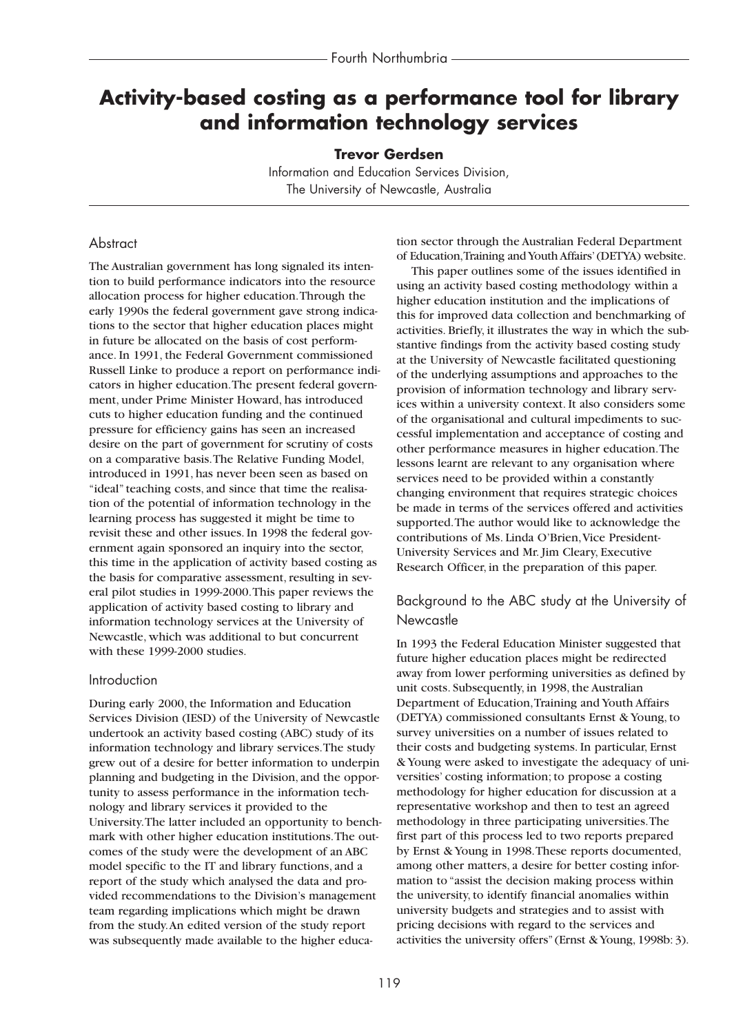# **Activity-based costing as a performance tool for library and information technology services**

#### **Trevor Gerdsen**

Information and Education Services Division, The University of Newcastle, Australia

### **Abstract**

The Australian government has long signaled its intention to build performance indicators into the resource allocation process for higher education.Through the early 1990s the federal government gave strong indications to the sector that higher education places might in future be allocated on the basis of cost performance. In 1991, the Federal Government commissioned Russell Linke to produce a report on performance indicators in higher education.The present federal government, under Prime Minister Howard, has introduced cuts to higher education funding and the continued pressure for efficiency gains has seen an increased desire on the part of government for scrutiny of costs on a comparative basis.The Relative Funding Model, introduced in 1991, has never been seen as based on "ideal" teaching costs, and since that time the realisation of the potential of information technology in the learning process has suggested it might be time to revisit these and other issues. In 1998 the federal government again sponsored an inquiry into the sector, this time in the application of activity based costing as the basis for comparative assessment, resulting in several pilot studies in 1999-2000.This paper reviews the application of activity based costing to library and information technology services at the University of Newcastle, which was additional to but concurrent with these 1999-2000 studies.

#### Introduction

During early 2000, the Information and Education Services Division (IESD) of the University of Newcastle undertook an activity based costing (ABC) study of its information technology and library services.The study grew out of a desire for better information to underpin planning and budgeting in the Division, and the opportunity to assess performance in the information technology and library services it provided to the University.The latter included an opportunity to benchmark with other higher education institutions.The outcomes of the study were the development of an ABC model specific to the IT and library functions, and a report of the study which analysed the data and provided recommendations to the Division's management team regarding implications which might be drawn from the study.An edited version of the study report was subsequently made available to the higher education sector through the Australian Federal Department of Education,Training and Youth Affairs'(DETYA) website.

This paper outlines some of the issues identified in using an activity based costing methodology within a higher education institution and the implications of this for improved data collection and benchmarking of activities. Briefly, it illustrates the way in which the substantive findings from the activity based costing study at the University of Newcastle facilitated questioning of the underlying assumptions and approaches to the provision of information technology and library services within a university context. It also considers some of the organisational and cultural impediments to successful implementation and acceptance of costing and other performance measures in higher education.The lessons learnt are relevant to any organisation where services need to be provided within a constantly changing environment that requires strategic choices be made in terms of the services offered and activities supported.The author would like to acknowledge the contributions of Ms. Linda O'Brien,Vice President-University Services and Mr. Jim Cleary, Executive Research Officer, in the preparation of this paper.

## Background to the ABC study at the University of **Newcastle**

In 1993 the Federal Education Minister suggested that future higher education places might be redirected away from lower performing universities as defined by unit costs. Subsequently, in 1998, the Australian Department of Education,Training and Youth Affairs (DETYA) commissioned consultants Ernst & Young, to survey universities on a number of issues related to their costs and budgeting systems. In particular, Ernst & Young were asked to investigate the adequacy of universities' costing information; to propose a costing methodology for higher education for discussion at a representative workshop and then to test an agreed methodology in three participating universities.The first part of this process led to two reports prepared by Ernst & Young in 1998.These reports documented, among other matters, a desire for better costing information to "assist the decision making process within the university, to identify financial anomalies within university budgets and strategies and to assist with pricing decisions with regard to the services and activities the university offers"(Ernst & Young, 1998b: 3).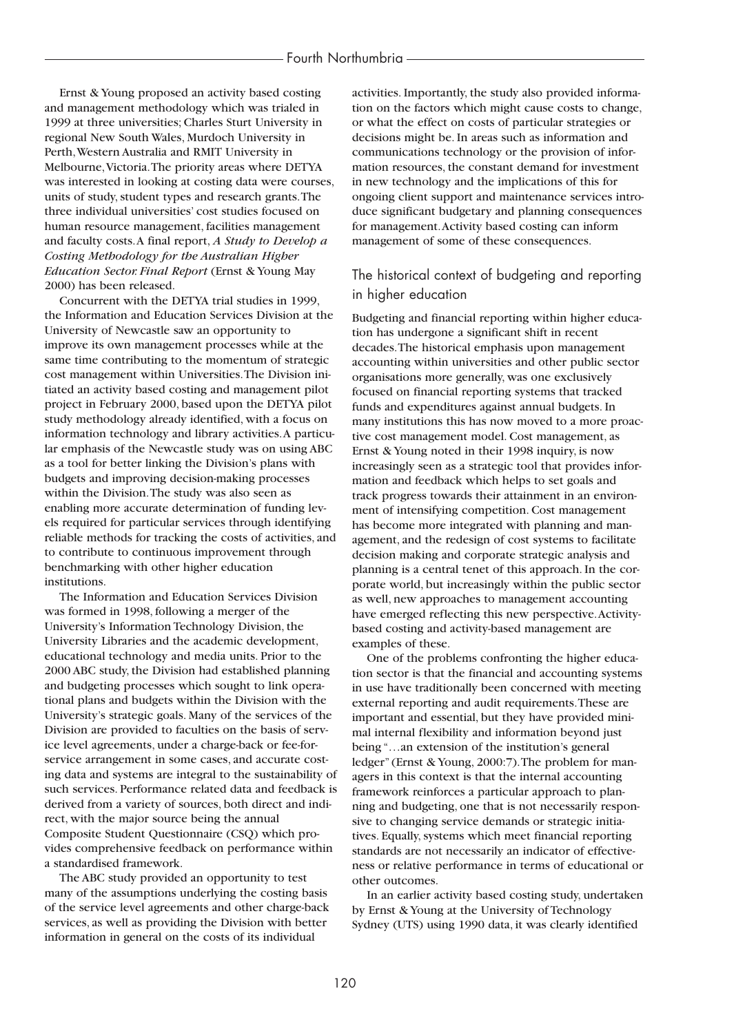Ernst & Young proposed an activity based costing and management methodology which was trialed in 1999 at three universities; Charles Sturt University in regional New South Wales, Murdoch University in Perth,Western Australia and RMIT University in Melbourne,Victoria.The priority areas where DETYA was interested in looking at costing data were courses, units of study, student types and research grants.The three individual universities' cost studies focused on human resource management, facilities management and faculty costs.A final report, *A Study to Develop a Costing Methodology for the Australian Higher Education Sector. Final Report* (Ernst & Young May 2000) has been released.

Concurrent with the DETYA trial studies in 1999, the Information and Education Services Division at the University of Newcastle saw an opportunity to improve its own management processes while at the same time contributing to the momentum of strategic cost management within Universities.The Division initiated an activity based costing and management pilot project in February 2000, based upon the DETYA pilot study methodology already identified, with a focus on information technology and library activities.A particular emphasis of the Newcastle study was on using ABC as a tool for better linking the Division's plans with budgets and improving decision-making processes within the Division.The study was also seen as enabling more accurate determination of funding levels required for particular services through identifying reliable methods for tracking the costs of activities, and to contribute to continuous improvement through benchmarking with other higher education institutions.

The Information and Education Services Division was formed in 1998, following a merger of the University's Information Technology Division, the University Libraries and the academic development, educational technology and media units. Prior to the 2000 ABC study, the Division had established planning and budgeting processes which sought to link operational plans and budgets within the Division with the University's strategic goals. Many of the services of the Division are provided to faculties on the basis of service level agreements, under a charge-back or fee-forservice arrangement in some cases, and accurate costing data and systems are integral to the sustainability of such services. Performance related data and feedback is derived from a variety of sources, both direct and indirect, with the major source being the annual Composite Student Questionnaire (CSQ) which provides comprehensive feedback on performance within a standardised framework.

The ABC study provided an opportunity to test many of the assumptions underlying the costing basis of the service level agreements and other charge-back services, as well as providing the Division with better information in general on the costs of its individual

activities. Importantly, the study also provided information on the factors which might cause costs to change, or what the effect on costs of particular strategies or decisions might be. In areas such as information and communications technology or the provision of information resources, the constant demand for investment in new technology and the implications of this for ongoing client support and maintenance services introduce significant budgetary and planning consequences for management.Activity based costing can inform management of some of these consequences.

## The historical context of budgeting and reporting in higher education

Budgeting and financial reporting within higher education has undergone a significant shift in recent decades.The historical emphasis upon management accounting within universities and other public sector organisations more generally, was one exclusively focused on financial reporting systems that tracked funds and expenditures against annual budgets. In many institutions this has now moved to a more proactive cost management model. Cost management, as Ernst & Young noted in their 1998 inquiry, is now increasingly seen as a strategic tool that provides information and feedback which helps to set goals and track progress towards their attainment in an environment of intensifying competition. Cost management has become more integrated with planning and management, and the redesign of cost systems to facilitate decision making and corporate strategic analysis and planning is a central tenet of this approach. In the corporate world, but increasingly within the public sector as well, new approaches to management accounting have emerged reflecting this new perspective.Activitybased costing and activity-based management are examples of these.

One of the problems confronting the higher education sector is that the financial and accounting systems in use have traditionally been concerned with meeting external reporting and audit requirements.These are important and essential, but they have provided minimal internal flexibility and information beyond just being "…an extension of the institution's general ledger" (Ernst & Young, 2000:7).The problem for managers in this context is that the internal accounting framework reinforces a particular approach to planning and budgeting, one that is not necessarily responsive to changing service demands or strategic initiatives. Equally, systems which meet financial reporting standards are not necessarily an indicator of effectiveness or relative performance in terms of educational or other outcomes.

In an earlier activity based costing study, undertaken by Ernst & Young at the University of Technology Sydney (UTS) using 1990 data, it was clearly identified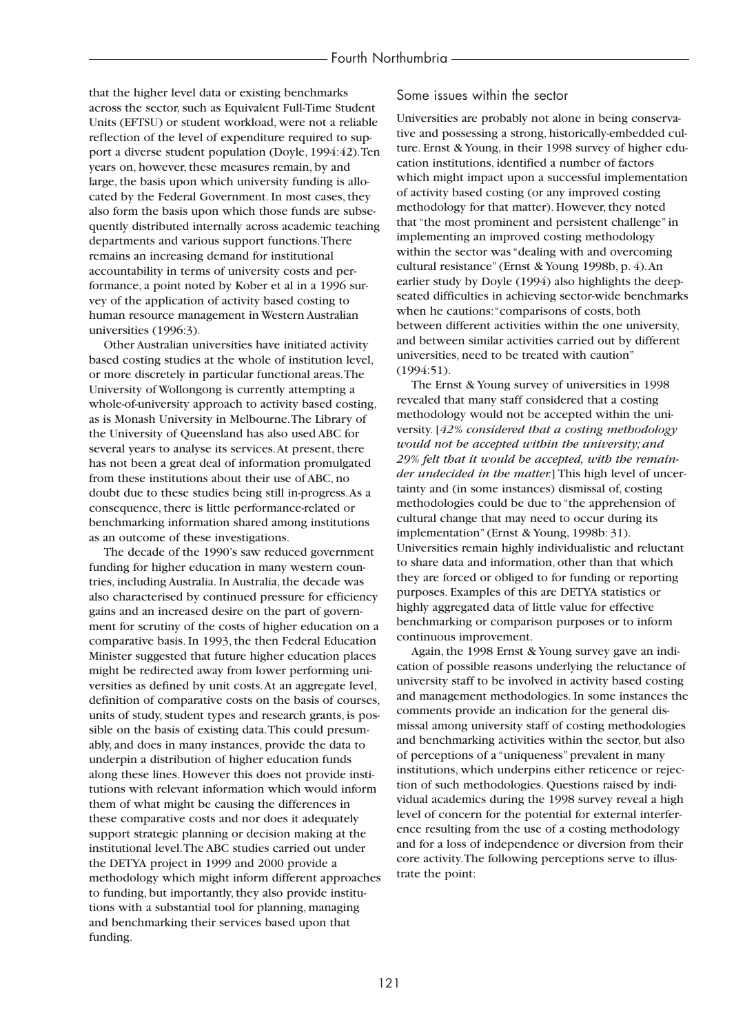that the higher level data or existing benchmarks across the sector, such as Equivalent Full-Time Student Units (EFTSU) or student workload, were not a reliable reflection of the level of expenditure required to support a diverse student population (Doyle, 1994:42).Ten years on, however, these measures remain, by and large, the basis upon which university funding is allocated by the Federal Government. In most cases, they also form the basis upon which those funds are subsequently distributed internally across academic teaching departments and various support functions.There remains an increasing demand for institutional accountability in terms of university costs and performance, a point noted by Kober et al in a 1996 survey of the application of activity based costing to human resource management in Western Australian universities (1996:3).

Other Australian universities have initiated activity based costing studies at the whole of institution level, or more discretely in particular functional areas.The University of Wollongong is currently attempting a whole-of-university approach to activity based costing, as is Monash University in Melbourne.The Library of the University of Queensland has also used ABC for several years to analyse its services.At present, there has not been a great deal of information promulgated from these institutions about their use of ABC, no doubt due to these studies being still in-progress.As a consequence, there is little performance-related or benchmarking information shared among institutions as an outcome of these investigations.

The decade of the 1990's saw reduced government funding for higher education in many western countries, including Australia. In Australia, the decade was also characterised by continued pressure for efficiency gains and an increased desire on the part of government for scrutiny of the costs of higher education on a comparative basis. In 1993, the then Federal Education Minister suggested that future higher education places might be redirected away from lower performing universities as defined by unit costs.At an aggregate level, definition of comparative costs on the basis of courses, units of study, student types and research grants, is possible on the basis of existing data.This could presumably, and does in many instances, provide the data to underpin a distribution of higher education funds along these lines. However this does not provide institutions with relevant information which would inform them of what might be causing the differences in these comparative costs and nor does it adequately support strategic planning or decision making at the institutional level.The ABC studies carried out under the DETYA project in 1999 and 2000 provide a methodology which might inform different approaches to funding, but importantly, they also provide institutions with a substantial tool for planning, managing and benchmarking their services based upon that funding.

## Some issues within the sector

Universities are probably not alone in being conservative and possessing a strong, historically-embedded culture. Ernst & Young, in their 1998 survey of higher education institutions, identified a number of factors which might impact upon a successful implementation of activity based costing (or any improved costing methodology for that matter). However, they noted that "the most prominent and persistent challenge" in implementing an improved costing methodology within the sector was "dealing with and overcoming cultural resistance" (Ernst & Young 1998b, p. 4).An earlier study by Doyle (1994) also highlights the deepseated difficulties in achieving sector-wide benchmarks when he cautions:"comparisons of costs, both between different activities within the one university, and between similar activities carried out by different universities, need to be treated with caution" (1994:51).

The Ernst & Young survey of universities in 1998 revealed that many staff considered that a costing methodology would not be accepted within the university. [*42% considered that a costing methodology would not be accepted within the university; and 29% felt that it would be accepted, with the remainder undecided in the matter.*] This high level of uncertainty and (in some instances) dismissal of, costing methodologies could be due to "the apprehension of cultural change that may need to occur during its implementation" (Ernst & Young, 1998b: 31). Universities remain highly individualistic and reluctant to share data and information, other than that which they are forced or obliged to for funding or reporting purposes. Examples of this are DETYA statistics or highly aggregated data of little value for effective benchmarking or comparison purposes or to inform continuous improvement.

Again, the 1998 Ernst & Young survey gave an indication of possible reasons underlying the reluctance of university staff to be involved in activity based costing and management methodologies. In some instances the comments provide an indication for the general dismissal among university staff of costing methodologies and benchmarking activities within the sector, but also of perceptions of a "uniqueness" prevalent in many institutions, which underpins either reticence or rejection of such methodologies. Questions raised by individual academics during the 1998 survey reveal a high level of concern for the potential for external interference resulting from the use of a costing methodology and for a loss of independence or diversion from their core activity.The following perceptions serve to illustrate the point: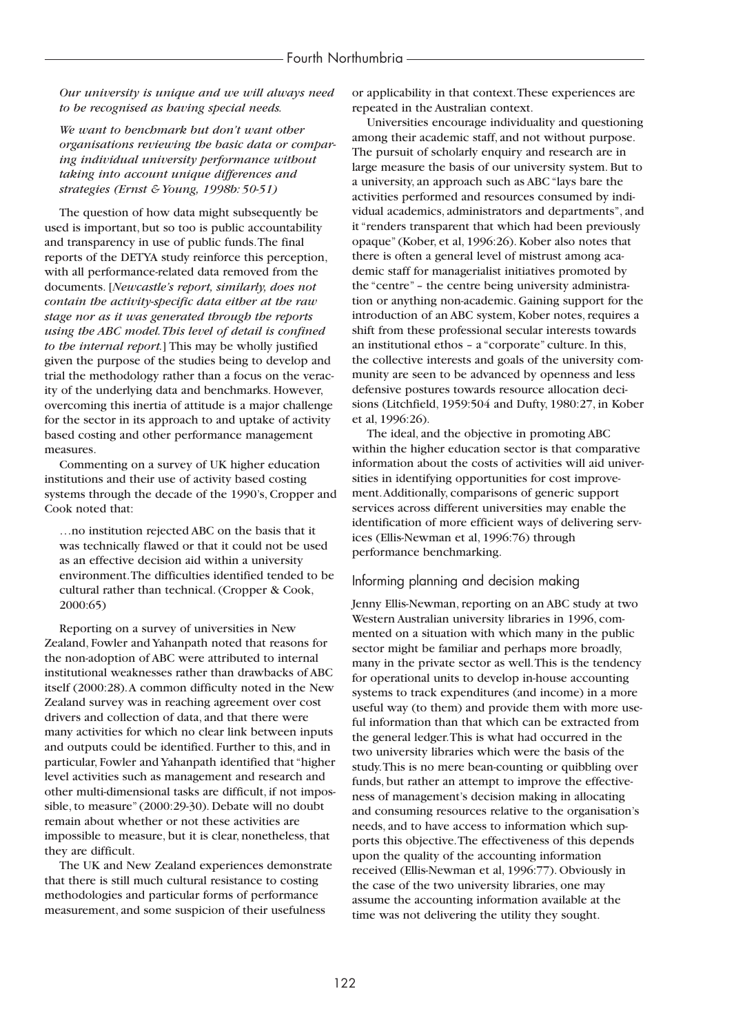*Our university is unique and we will always need to be recognised as having special needs.*

*We want to benchmark but don't want other organisations reviewing the basic data or comparing individual university performance without taking into account unique differences and strategies (Ernst & Young, 1998b: 50-51)*

The question of how data might subsequently be used is important, but so too is public accountability and transparency in use of public funds.The final reports of the DETYA study reinforce this perception, with all performance-related data removed from the documents. [*Newcastle's report, similarly, does not contain the activity-specific data either at the raw stage nor as it was generated through the reports using the ABC model.This level of detail is confined to the internal report.*] This may be wholly justified given the purpose of the studies being to develop and trial the methodology rather than a focus on the veracity of the underlying data and benchmarks. However, overcoming this inertia of attitude is a major challenge for the sector in its approach to and uptake of activity based costing and other performance management measures.

Commenting on a survey of UK higher education institutions and their use of activity based costing systems through the decade of the 1990's, Cropper and Cook noted that:

…no institution rejected ABC on the basis that it was technically flawed or that it could not be used as an effective decision aid within a university environment.The difficulties identified tended to be cultural rather than technical. (Cropper & Cook, 2000:65)

Reporting on a survey of universities in New Zealand, Fowler and Yahanpath noted that reasons for the non-adoption of ABC were attributed to internal institutional weaknesses rather than drawbacks of ABC itself (2000:28).A common difficulty noted in the New Zealand survey was in reaching agreement over cost drivers and collection of data, and that there were many activities for which no clear link between inputs and outputs could be identified. Further to this, and in particular, Fowler and Yahanpath identified that "higher level activities such as management and research and other multi-dimensional tasks are difficult, if not impossible, to measure" (2000:29-30). Debate will no doubt remain about whether or not these activities are impossible to measure, but it is clear, nonetheless, that they are difficult.

The UK and New Zealand experiences demonstrate that there is still much cultural resistance to costing methodologies and particular forms of performance measurement, and some suspicion of their usefulness

or applicability in that context.These experiences are repeated in the Australian context.

Universities encourage individuality and questioning among their academic staff, and not without purpose. The pursuit of scholarly enquiry and research are in large measure the basis of our university system. But to a university, an approach such as ABC "lays bare the activities performed and resources consumed by individual academics, administrators and departments", and it "renders transparent that which had been previously opaque" (Kober, et al, 1996:26). Kober also notes that there is often a general level of mistrust among academic staff for managerialist initiatives promoted by the "centre" – the centre being university administration or anything non-academic. Gaining support for the introduction of an ABC system, Kober notes, requires a shift from these professional secular interests towards an institutional ethos – a "corporate" culture. In this, the collective interests and goals of the university community are seen to be advanced by openness and less defensive postures towards resource allocation decisions (Litchfield, 1959:504 and Dufty, 1980:27, in Kober et al, 1996:26).

The ideal, and the objective in promoting ABC within the higher education sector is that comparative information about the costs of activities will aid universities in identifying opportunities for cost improvement.Additionally, comparisons of generic support services across different universities may enable the identification of more efficient ways of delivering services (Ellis-Newman et al, 1996:76) through performance benchmarking.

#### Informing planning and decision making

Jenny Ellis-Newman, reporting on an ABC study at two Western Australian university libraries in 1996, commented on a situation with which many in the public sector might be familiar and perhaps more broadly, many in the private sector as well.This is the tendency for operational units to develop in-house accounting systems to track expenditures (and income) in a more useful way (to them) and provide them with more useful information than that which can be extracted from the general ledger.This is what had occurred in the two university libraries which were the basis of the study.This is no mere bean-counting or quibbling over funds, but rather an attempt to improve the effectiveness of management's decision making in allocating and consuming resources relative to the organisation's needs, and to have access to information which supports this objective.The effectiveness of this depends upon the quality of the accounting information received (Ellis-Newman et al, 1996:77). Obviously in the case of the two university libraries, one may assume the accounting information available at the time was not delivering the utility they sought.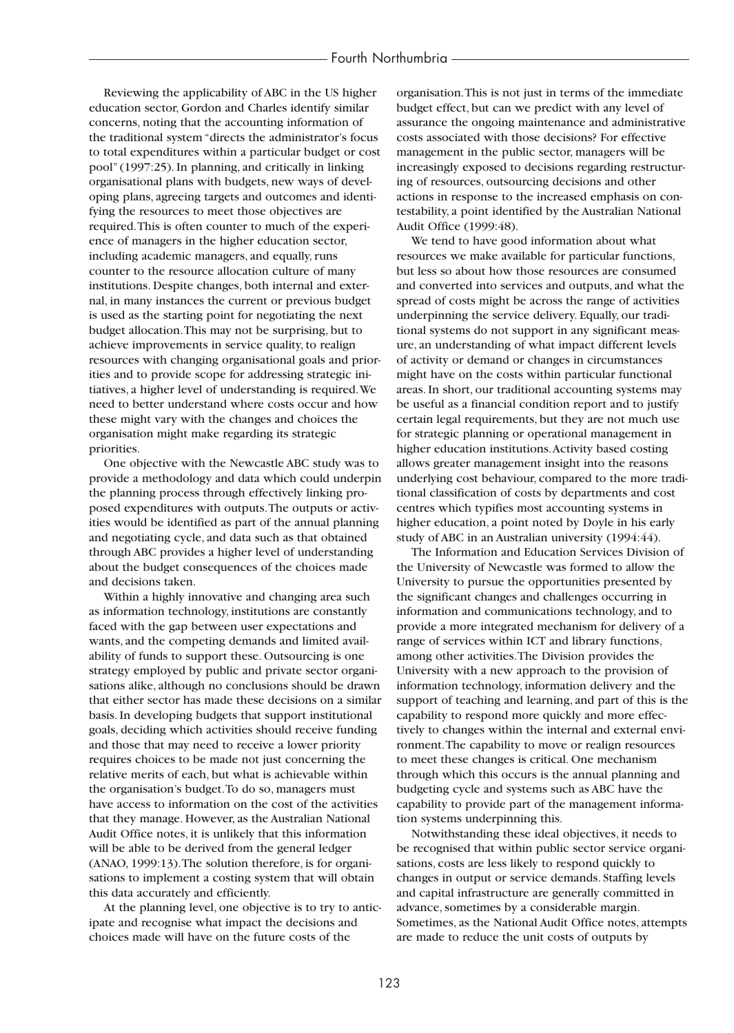Reviewing the applicability of ABC in the US higher education sector, Gordon and Charles identify similar concerns, noting that the accounting information of the traditional system "directs the administrator's focus to total expenditures within a particular budget or cost pool" (1997:25). In planning, and critically in linking organisational plans with budgets, new ways of developing plans, agreeing targets and outcomes and identifying the resources to meet those objectives are required.This is often counter to much of the experience of managers in the higher education sector, including academic managers, and equally, runs counter to the resource allocation culture of many institutions. Despite changes, both internal and external, in many instances the current or previous budget is used as the starting point for negotiating the next budget allocation.This may not be surprising, but to achieve improvements in service quality, to realign resources with changing organisational goals and priorities and to provide scope for addressing strategic initiatives, a higher level of understanding is required.We need to better understand where costs occur and how these might vary with the changes and choices the organisation might make regarding its strategic priorities.

One objective with the Newcastle ABC study was to provide a methodology and data which could underpin the planning process through effectively linking proposed expenditures with outputs.The outputs or activities would be identified as part of the annual planning and negotiating cycle, and data such as that obtained through ABC provides a higher level of understanding about the budget consequences of the choices made and decisions taken.

Within a highly innovative and changing area such as information technology, institutions are constantly faced with the gap between user expectations and wants, and the competing demands and limited availability of funds to support these. Outsourcing is one strategy employed by public and private sector organisations alike, although no conclusions should be drawn that either sector has made these decisions on a similar basis. In developing budgets that support institutional goals, deciding which activities should receive funding and those that may need to receive a lower priority requires choices to be made not just concerning the relative merits of each, but what is achievable within the organisation's budget.To do so, managers must have access to information on the cost of the activities that they manage. However, as the Australian National Audit Office notes, it is unlikely that this information will be able to be derived from the general ledger (ANAO, 1999:13).The solution therefore, is for organisations to implement a costing system that will obtain this data accurately and efficiently.

At the planning level, one objective is to try to anticipate and recognise what impact the decisions and choices made will have on the future costs of the

organisation.This is not just in terms of the immediate budget effect, but can we predict with any level of assurance the ongoing maintenance and administrative costs associated with those decisions? For effective management in the public sector, managers will be increasingly exposed to decisions regarding restructuring of resources, outsourcing decisions and other actions in response to the increased emphasis on contestability, a point identified by the Australian National Audit Office (1999:48).

We tend to have good information about what resources we make available for particular functions, but less so about how those resources are consumed and converted into services and outputs, and what the spread of costs might be across the range of activities underpinning the service delivery. Equally, our traditional systems do not support in any significant measure, an understanding of what impact different levels of activity or demand or changes in circumstances might have on the costs within particular functional areas. In short, our traditional accounting systems may be useful as a financial condition report and to justify certain legal requirements, but they are not much use for strategic planning or operational management in higher education institutions.Activity based costing allows greater management insight into the reasons underlying cost behaviour, compared to the more traditional classification of costs by departments and cost centres which typifies most accounting systems in higher education, a point noted by Doyle in his early study of ABC in an Australian university (1994:44).

The Information and Education Services Division of the University of Newcastle was formed to allow the University to pursue the opportunities presented by the significant changes and challenges occurring in information and communications technology, and to provide a more integrated mechanism for delivery of a range of services within ICT and library functions, among other activities.The Division provides the University with a new approach to the provision of information technology, information delivery and the support of teaching and learning, and part of this is the capability to respond more quickly and more effectively to changes within the internal and external environment.The capability to move or realign resources to meet these changes is critical. One mechanism through which this occurs is the annual planning and budgeting cycle and systems such as ABC have the capability to provide part of the management information systems underpinning this.

Notwithstanding these ideal objectives, it needs to be recognised that within public sector service organisations, costs are less likely to respond quickly to changes in output or service demands. Staffing levels and capital infrastructure are generally committed in advance, sometimes by a considerable margin. Sometimes, as the National Audit Office notes, attempts are made to reduce the unit costs of outputs by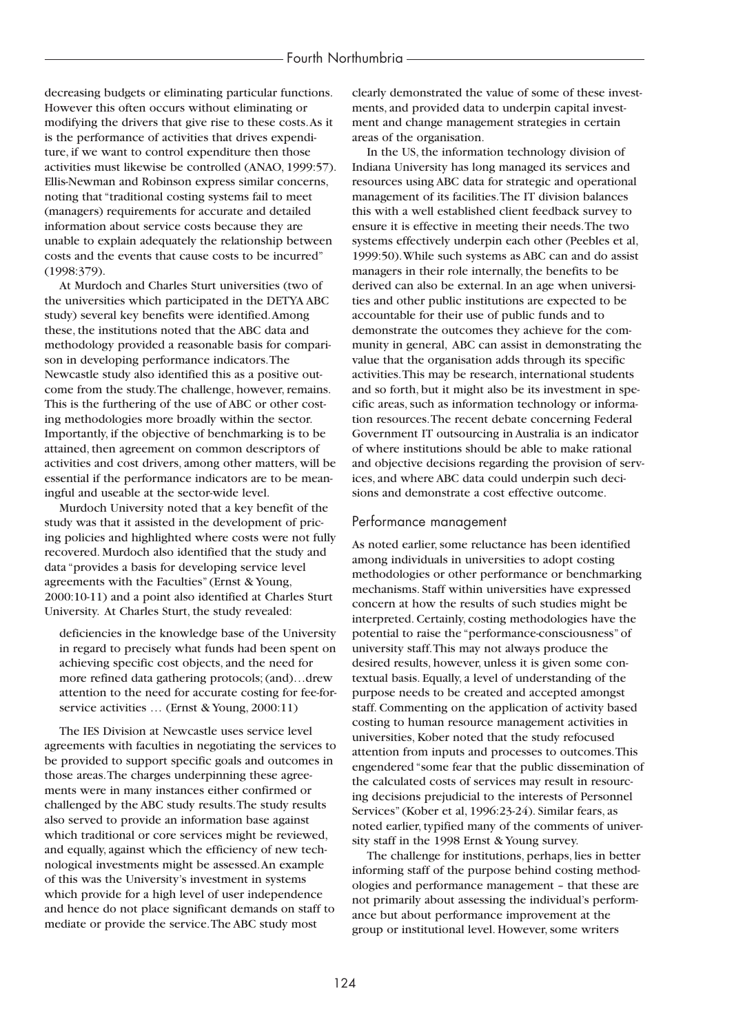decreasing budgets or eliminating particular functions. However this often occurs without eliminating or modifying the drivers that give rise to these costs.As it is the performance of activities that drives expenditure, if we want to control expenditure then those activities must likewise be controlled (ANAO, 1999:57). Ellis-Newman and Robinson express similar concerns, noting that "traditional costing systems fail to meet (managers) requirements for accurate and detailed information about service costs because they are unable to explain adequately the relationship between costs and the events that cause costs to be incurred" (1998:379).

At Murdoch and Charles Sturt universities (two of the universities which participated in the DETYA ABC study) several key benefits were identified.Among these, the institutions noted that the ABC data and methodology provided a reasonable basis for comparison in developing performance indicators.The Newcastle study also identified this as a positive outcome from the study.The challenge, however, remains. This is the furthering of the use of ABC or other costing methodologies more broadly within the sector. Importantly, if the objective of benchmarking is to be attained, then agreement on common descriptors of activities and cost drivers, among other matters, will be essential if the performance indicators are to be meaningful and useable at the sector-wide level.

Murdoch University noted that a key benefit of the study was that it assisted in the development of pricing policies and highlighted where costs were not fully recovered. Murdoch also identified that the study and data "provides a basis for developing service level agreements with the Faculties" (Ernst & Young, 2000:10-11) and a point also identified at Charles Sturt University. At Charles Sturt, the study revealed:

deficiencies in the knowledge base of the University in regard to precisely what funds had been spent on achieving specific cost objects, and the need for more refined data gathering protocols; (and)…drew attention to the need for accurate costing for fee-forservice activities … (Ernst & Young, 2000:11)

The IES Division at Newcastle uses service level agreements with faculties in negotiating the services to be provided to support specific goals and outcomes in those areas.The charges underpinning these agreements were in many instances either confirmed or challenged by the ABC study results.The study results also served to provide an information base against which traditional or core services might be reviewed, and equally, against which the efficiency of new technological investments might be assessed.An example of this was the University's investment in systems which provide for a high level of user independence and hence do not place significant demands on staff to mediate or provide the service.The ABC study most

clearly demonstrated the value of some of these investments, and provided data to underpin capital investment and change management strategies in certain areas of the organisation.

In the US, the information technology division of Indiana University has long managed its services and resources using ABC data for strategic and operational management of its facilities.The IT division balances this with a well established client feedback survey to ensure it is effective in meeting their needs.The two systems effectively underpin each other (Peebles et al, 1999:50).While such systems as ABC can and do assist managers in their role internally, the benefits to be derived can also be external. In an age when universities and other public institutions are expected to be accountable for their use of public funds and to demonstrate the outcomes they achieve for the community in general, ABC can assist in demonstrating the value that the organisation adds through its specific activities.This may be research, international students and so forth, but it might also be its investment in specific areas, such as information technology or information resources.The recent debate concerning Federal Government IT outsourcing in Australia is an indicator of where institutions should be able to make rational and objective decisions regarding the provision of services, and where ABC data could underpin such decisions and demonstrate a cost effective outcome.

#### Performance management

As noted earlier, some reluctance has been identified among individuals in universities to adopt costing methodologies or other performance or benchmarking mechanisms. Staff within universities have expressed concern at how the results of such studies might be interpreted. Certainly, costing methodologies have the potential to raise the "performance-consciousness" of university staff.This may not always produce the desired results, however, unless it is given some contextual basis. Equally, a level of understanding of the purpose needs to be created and accepted amongst staff. Commenting on the application of activity based costing to human resource management activities in universities, Kober noted that the study refocused attention from inputs and processes to outcomes.This engendered "some fear that the public dissemination of the calculated costs of services may result in resourcing decisions prejudicial to the interests of Personnel Services" (Kober et al, 1996:23-24). Similar fears, as noted earlier, typified many of the comments of university staff in the 1998 Ernst & Young survey.

The challenge for institutions, perhaps, lies in better informing staff of the purpose behind costing methodologies and performance management – that these are not primarily about assessing the individual's performance but about performance improvement at the group or institutional level. However, some writers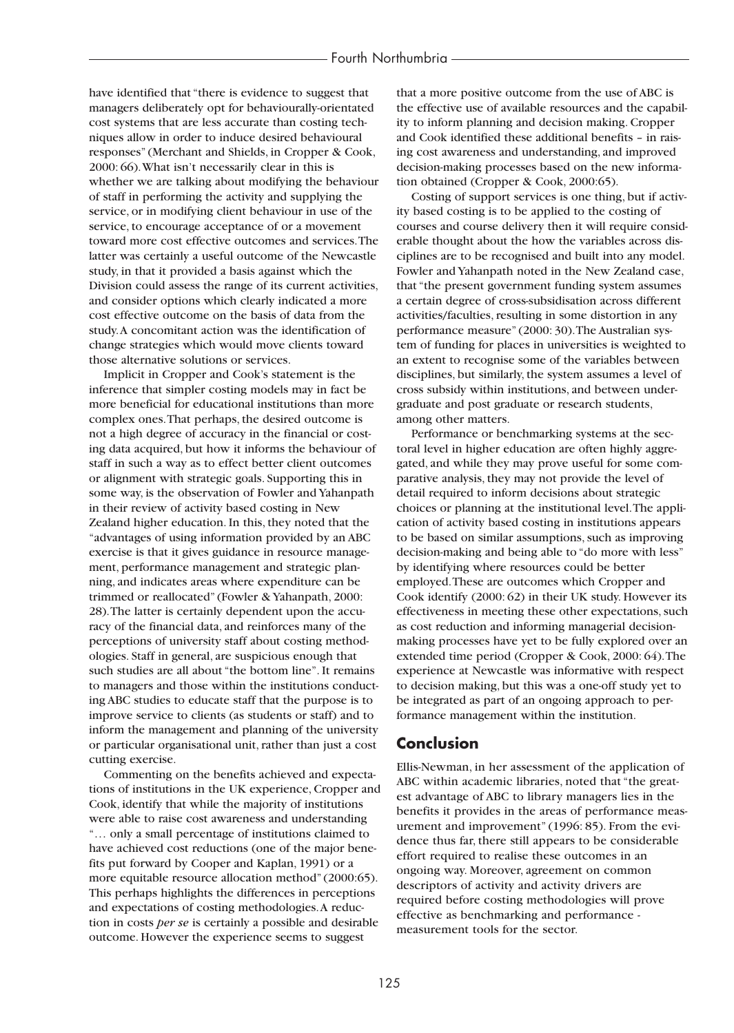have identified that "there is evidence to suggest that managers deliberately opt for behaviourally-orientated cost systems that are less accurate than costing techniques allow in order to induce desired behavioural responses" (Merchant and Shields, in Cropper & Cook, 2000: 66).What isn't necessarily clear in this is whether we are talking about modifying the behaviour of staff in performing the activity and supplying the service, or in modifying client behaviour in use of the service, to encourage acceptance of or a movement toward more cost effective outcomes and services.The latter was certainly a useful outcome of the Newcastle study, in that it provided a basis against which the Division could assess the range of its current activities, and consider options which clearly indicated a more cost effective outcome on the basis of data from the study.A concomitant action was the identification of change strategies which would move clients toward those alternative solutions or services.

Implicit in Cropper and Cook's statement is the inference that simpler costing models may in fact be more beneficial for educational institutions than more complex ones.That perhaps, the desired outcome is not a high degree of accuracy in the financial or costing data acquired, but how it informs the behaviour of staff in such a way as to effect better client outcomes or alignment with strategic goals. Supporting this in some way, is the observation of Fowler and Yahanpath in their review of activity based costing in New Zealand higher education. In this, they noted that the "advantages of using information provided by an ABC exercise is that it gives guidance in resource management, performance management and strategic planning, and indicates areas where expenditure can be trimmed or reallocated" (Fowler & Yahanpath, 2000: 28).The latter is certainly dependent upon the accuracy of the financial data, and reinforces many of the perceptions of university staff about costing methodologies. Staff in general, are suspicious enough that such studies are all about "the bottom line". It remains to managers and those within the institutions conducting ABC studies to educate staff that the purpose is to improve service to clients (as students or staff) and to inform the management and planning of the university or particular organisational unit, rather than just a cost cutting exercise.

Commenting on the benefits achieved and expectations of institutions in the UK experience, Cropper and Cook, identify that while the majority of institutions were able to raise cost awareness and understanding "… only a small percentage of institutions claimed to have achieved cost reductions (one of the major benefits put forward by Cooper and Kaplan, 1991) or a more equitable resource allocation method" (2000:65). This perhaps highlights the differences in perceptions and expectations of costing methodologies.A reduction in costs *per se* is certainly a possible and desirable outcome. However the experience seems to suggest

that a more positive outcome from the use of ABC is the effective use of available resources and the capability to inform planning and decision making. Cropper and Cook identified these additional benefits – in raising cost awareness and understanding, and improved decision-making processes based on the new information obtained (Cropper & Cook, 2000:65).

Costing of support services is one thing, but if activity based costing is to be applied to the costing of courses and course delivery then it will require considerable thought about the how the variables across disciplines are to be recognised and built into any model. Fowler and Yahanpath noted in the New Zealand case, that "the present government funding system assumes a certain degree of cross-subsidisation across different activities/faculties, resulting in some distortion in any performance measure" (2000: 30).The Australian system of funding for places in universities is weighted to an extent to recognise some of the variables between disciplines, but similarly, the system assumes a level of cross subsidy within institutions, and between undergraduate and post graduate or research students, among other matters.

Performance or benchmarking systems at the sectoral level in higher education are often highly aggregated, and while they may prove useful for some comparative analysis, they may not provide the level of detail required to inform decisions about strategic choices or planning at the institutional level.The application of activity based costing in institutions appears to be based on similar assumptions, such as improving decision-making and being able to "do more with less" by identifying where resources could be better employed.These are outcomes which Cropper and Cook identify (2000: 62) in their UK study. However its effectiveness in meeting these other expectations, such as cost reduction and informing managerial decisionmaking processes have yet to be fully explored over an extended time period (Cropper & Cook, 2000: 64).The experience at Newcastle was informative with respect to decision making, but this was a one-off study yet to be integrated as part of an ongoing approach to performance management within the institution.

## **Conclusion**

Ellis-Newman, in her assessment of the application of ABC within academic libraries, noted that "the greatest advantage of ABC to library managers lies in the benefits it provides in the areas of performance measurement and improvement" (1996: 85). From the evidence thus far, there still appears to be considerable effort required to realise these outcomes in an ongoing way. Moreover, agreement on common descriptors of activity and activity drivers are required before costing methodologies will prove effective as benchmarking and performance measurement tools for the sector.